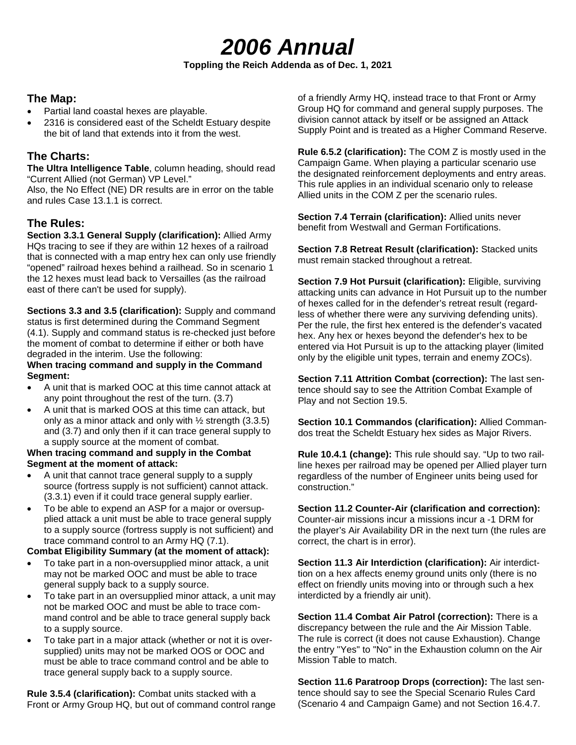# *2006 Annual*

#### **Toppling the Reich Addenda as of Dec. 1, 2021**

## **The Map:**

- Partial land coastal hexes are playable.
- 2316 is considered east of the Scheldt Estuary despite the bit of land that extends into it from the west.

# **The Charts:**

**The Ultra Intelligence Table**, column heading, should read "Current Allied (not German) VP Level."

Also, the No Effect (NE) DR results are in error on the table and rules Case 13.1.1 is correct.

# **The Rules:**

**Section 3.3.1 General Supply (clarification):** Allied Army HQs tracing to see if they are within 12 hexes of a railroad that is connected with a map entry hex can only use friendly "opened" railroad hexes behind a railhead. So in scenario 1 the 12 hexes must lead back to Versailles (as the railroad east of there can't be used for supply).

**Sections 3.3 and 3.5 (clarification):** Supply and command status is first determined during the Command Segment (4.1). Supply and command status is re-checked just before the moment of combat to determine if either or both have degraded in the interim. Use the following:

#### **When tracing command and supply in the Command Segment:**

- A unit that is marked OOC at this time cannot attack at any point throughout the rest of the turn. (3.7)
- A unit that is marked OOS at this time can attack, but only as a minor attack and only with  $\frac{1}{2}$  strength (3.3.5) and (3.7) and only then if it can trace general supply to a supply source at the moment of combat.

#### **When tracing command and supply in the Combat Segment at the moment of attack:**

- A unit that cannot trace general supply to a supply source (fortress supply is not sufficient) cannot attack. (3.3.1) even if it could trace general supply earlier.
- To be able to expend an ASP for a major or oversupplied attack a unit must be able to trace general supply to a supply source (fortress supply is not sufficient) and trace command control to an Army HQ (7.1).

#### **Combat Eligibility Summary (at the moment of attack):**

- To take part in a non-oversupplied minor attack, a unit may not be marked OOC and must be able to trace general supply back to a supply source.
- To take part in an oversupplied minor attack, a unit may not be marked OOC and must be able to trace command control and be able to trace general supply back to a supply source.
- To take part in a major attack (whether or not it is oversupplied) units may not be marked OOS or OOC and must be able to trace command control and be able to trace general supply back to a supply source.

**Rule 3.5.4 (clarification):** Combat units stacked with a Front or Army Group HQ, but out of command control range of a friendly Army HQ, instead trace to that Front or Army Group HQ for command and general supply purposes. The division cannot attack by itself or be assigned an Attack Supply Point and is treated as a Higher Command Reserve.

**Rule 6.5.2 (clarification):** The COM Z is mostly used in the Campaign Game. When playing a particular scenario use the designated reinforcement deployments and entry areas. This rule applies in an individual scenario only to release Allied units in the COM Z per the scenario rules.

**Section 7.4 Terrain (clarification):** Allied units never benefit from Westwall and German Fortifications.

**Section 7.8 Retreat Result (clarification):** Stacked units must remain stacked throughout a retreat.

**Section 7.9 Hot Pursuit (clarification):** Eligible, surviving attacking units can advance in Hot Pursuit up to the number of hexes called for in the defender's retreat result (regardless of whether there were any surviving defending units). Per the rule, the first hex entered is the defender's vacated hex. Any hex or hexes beyond the defender's hex to be entered via Hot Pursuit is up to the attacking player (limited only by the eligible unit types, terrain and enemy ZOCs).

**Section 7.11 Attrition Combat (correction):** The last sentence should say to see the Attrition Combat Example of Play and not Section 19.5.

**Section 10.1 Commandos (clarification):** Allied Commandos treat the Scheldt Estuary hex sides as Major Rivers.

**Rule 10.4.1 (change):** This rule should say. "Up to two railline hexes per railroad may be opened per Allied player turn regardless of the number of Engineer units being used for construction."

**Section 11.2 Counter-Air (clarification and correction):** Counter-air missions incur a missions incur a -1 DRM for the player's Air Availability DR in the next turn (the rules are correct, the chart is in error).

**Section 11.3 Air Interdiction (clarification):** Air interdicttion on a hex affects enemy ground units only (there is no effect on friendly units moving into or through such a hex interdicted by a friendly air unit).

**Section 11.4 Combat Air Patrol (correction):** There is a discrepancy between the rule and the Air Mission Table. The rule is correct (it does not cause Exhaustion). Change the entry "Yes" to "No" in the Exhaustion column on the Air Mission Table to match.

**Section 11.6 Paratroop Drops (correction):** The last sentence should say to see the Special Scenario Rules Card (Scenario 4 and Campaign Game) and not Section 16.4.7.